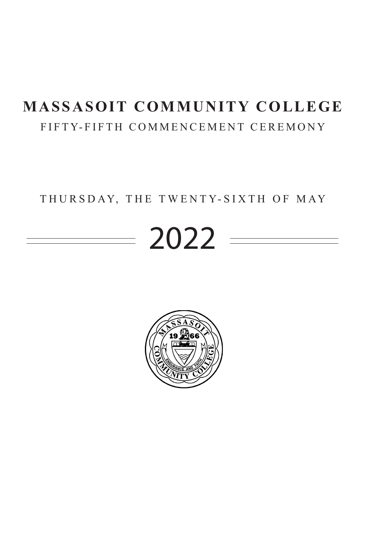# FIFTY-FIFTH COMMENCEMENT CEREMONY **MASSASOIT COMMUNITY COLLEGE**

## THURSDAY, THE TWENTY-SIXTH OF MAY

# $= 2022 =$

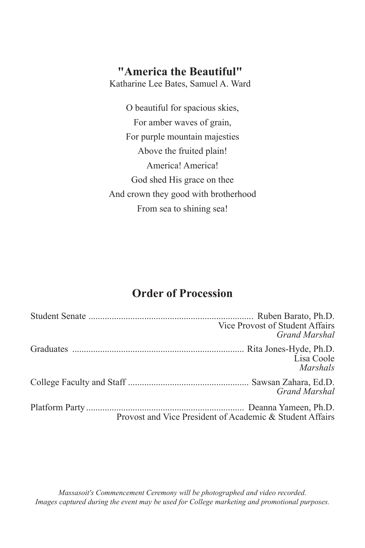## **"America the Beautiful"**

Katharine Lee Bates, Samuel A. Ward

O beautiful for spacious skies, For amber waves of grain, For purple mountain majesties Above the fruited plain! America! America! God shed His grace on thee And crown they good with brotherhood From sea to shining sea!

## **Order of Procession**

| Vice Provost of Student Affairs<br>Grand Marshal         |
|----------------------------------------------------------|
| Lisa Coole<br><i>Marshals</i>                            |
| Grand Marshal                                            |
| Provost and Vice President of Academic & Student Affairs |

*Massasoit's Commencement Ceremony will be photographed and video recorded. Images captured during the event may be used for College marketing and promotional purposes.*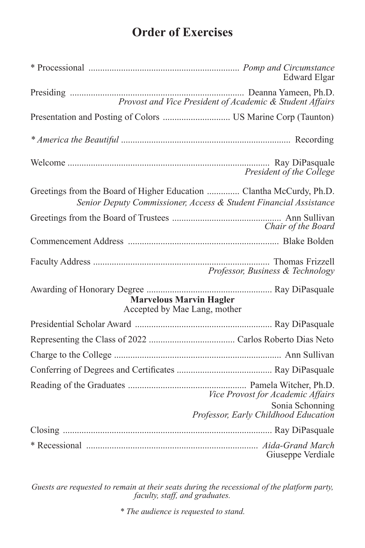# **Order of Exercises**

|                                                                      | <b>Edward Elgar</b>                                                                          |
|----------------------------------------------------------------------|----------------------------------------------------------------------------------------------|
|                                                                      | Provost and Vice President of Academic & Student Affairs                                     |
|                                                                      |                                                                                              |
|                                                                      |                                                                                              |
|                                                                      | President of the College                                                                     |
| Greetings from the Board of Higher Education  Clantha McCurdy, Ph.D. | Senior Deputy Commissioner, Access & Student Financial Assistance                            |
|                                                                      | Chair of the Board                                                                           |
|                                                                      |                                                                                              |
|                                                                      | Professor, Business & Technology                                                             |
| <b>Marvelous Marvin Hagler</b><br>Accepted by Mae Lang, mother       |                                                                                              |
|                                                                      |                                                                                              |
|                                                                      |                                                                                              |
|                                                                      |                                                                                              |
|                                                                      |                                                                                              |
|                                                                      | Vice Provost for Academic Affairs<br>Sonia Schonning<br>Professor, Early Childhood Education |
|                                                                      |                                                                                              |
|                                                                      | Giuseppe Verdiale                                                                            |

*Guests are requested to remain at their seats during the recessional of the platform party, faculty, staff, and graduates.*

*\* The audience is requested to stand.*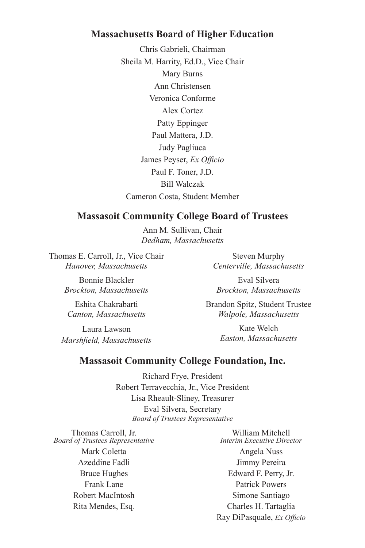#### **Massachusetts Board of Higher Education**

Chris Gabrieli, Chairman Sheila M. Harrity, Ed.D., Vice Chair Mary Burns Ann Christensen Veronica Conforme Alex Cortez Patty Eppinger Paul Mattera, J.D. Judy Pagliuca James Peyser, *Ex Officio* Paul F. Toner, J.D. Bill Walczak Cameron Costa, Student Member

#### **Massasoit Community College Board of Trustees**

Ann M. Sullivan, Chair *Dedham, Massachusetts*

Thomas E. Carroll, Jr., Vice Chair *Hanover, Massachusetts*

> Bonnie Blackler *Brockton, Massachusetts*

Eshita Chakrabarti *Canton, Massachusetts*

Laura Lawson *Marshfield, Massachusetts*

Steven Murphy *Centerville, Massachusetts* 

Eval Silvera *Brockton, Massachusetts*

Brandon Spitz, Student Trustee *Walpole, Massachusetts*

> Kate Welch *Easton, Massachusetts*

#### **Massasoit Community College Foundation, Inc.**

Richard Frye, President Robert Terravecchia, Jr., Vice President Lisa Rheault-Sliney, Treasurer Eval Silvera, Secretary *Board of Trustees Representative*

Thomas Carroll, Jr. *Board of Trustees Representative* Mark Coletta Azeddine Fadli Bruce Hughes Frank Lane Robert MacIntosh Rita Mendes, Esq.

William Mitchell *Interim Executive Director* Angela Nuss Jimmy Pereira Edward F. Perry, Jr. Patrick Powers Simone Santiago Charles H. Tartaglia Ray DiPasquale, *Ex Officio*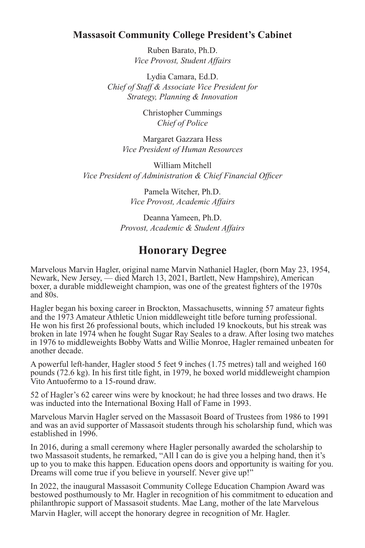#### **Massasoit Community College President's Cabinet**

Ruben Barato, Ph.D. *Vice Provost, Student Affairs*

Lydia Camara, Ed.D. *Chief of Staff & Associate Vice President for Strategy, Planning & Innovation*

> Christopher Cummings *Chief of Police*

Margaret Gazzara Hess *Vice President of Human Resources*

William Mitchell *Vice President of Administration & Chief Financial Officer*

> Pamela Witcher, Ph.D. *Vice Provost, Academic Affairs*

Deanna Yameen, Ph.D. *Provost, Academic & Student Affairs*

## **Honorary Degree**

Marvelous Marvin Hagler, original name Marvin Nathaniel Hagler, (born May 23, 1954, Newark, New Jersey, — died March 13, 2021, Bartlett, New Hampshire), American boxer, a durable middleweight champion, was one of the greatest fighters of the 1970s and 80s.

Hagler began his boxing career in Brockton, Massachusetts, winning 57 amateur fights and the 1973 Amateur Athletic Union middleweight title before turning professional. He won his first 26 professional bouts, which included 19 knockouts, but his streak was broken in late 1974 when he fought Sugar Ray Seales to a draw. After losing two matches in 1976 to middleweights Bobby Watts and Willie Monroe, Hagler remained unbeaten for another decade.

A powerful left-hander, Hagler stood 5 feet 9 inches (1.75 metres) tall and weighed 160 pounds (72.6 kg). In his first title fight, in 1979, he boxed world middleweight champion Vito Antuofermo to a 15-round draw.

52 of Hagler's 62 career wins were by knockout; he had three losses and two draws. He was inducted into the International Boxing Hall of Fame in 1993.

Marvelous Marvin Hagler served on the Massasoit Board of Trustees from 1986 to 1991 and was an avid supporter of Massasoit students through his scholarship fund, which was established in 1996.

In 2016, during a small ceremony where Hagler personally awarded the scholarship to two Massasoit students, he remarked, "All I can do is give you a helping hand, then it's up to you to make this happen. Education opens doors and opportunity is waiting for you. Dreams will come true if you believe in yourself. Never give up!"

In 2022, the inaugural Massasoit Community College Education Champion Award was bestowed posthumously to Mr. Hagler in recognition of his commitment to education and philanthropic support of Massasoit students. Mae Lang, mother of the late Marvelous Marvin Hagler, will accept the honorary degree in recognition of Mr. Hagler.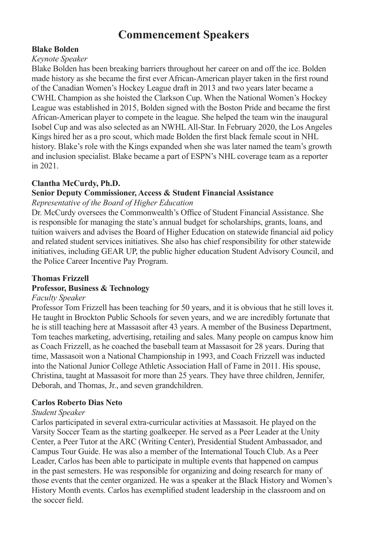## **Commencement Speakers**

#### **Blake Bolden**

#### *Keynote Speaker*

Blake Bolden has been breaking barriers throughout her career on and off the ice. Bolden made history as she became the first ever African-American player taken in the first round of the Canadian Women's Hockey League draft in 2013 and two years later became a CWHL Champion as she hoisted the Clarkson Cup. When the National Women's Hockey League was established in 2015, Bolden signed with the Boston Pride and became the first African-American player to compete in the league. She helped the team win the inaugural Isobel Cup and was also selected as an NWHL All-Star. In February 2020, the Los Angeles Kings hired her as a pro scout, which made Bolden the first black female scout in NHL history. Blake's role with the Kings expanded when she was later named the team's growth and inclusion specialist. Blake became a part of ESPN's NHL coverage team as a reporter in 2021.

#### **Clantha McCurdy, Ph.D.**

#### **Senior Deputy Commissioner, Access & Student Financial Assistance**

*Representative of the Board of Higher Education*

Dr. McCurdy oversees the Commonwealth's Office of Student Financial Assistance. She is responsible for managing the state's annual budget for scholarships, grants, loans, and tuition waivers and advises the Board of Higher Education on statewide financial aid policy and related student services initiatives. She also has chief responsibility for other statewide initiatives, including GEAR UP, the public higher education Student Advisory Council, and the Police Career Incentive Pay Program.

#### **Thomas Frizzell**

#### **Professor, Business & Technology**

#### *Faculty Speaker*

Professor Tom Frizzell has been teaching for 50 years, and it is obvious that he still loves it. He taught in Brockton Public Schools for seven years, and we are incredibly fortunate that he is still teaching here at Massasoit after 43 years. A member of the Business Department, Tom teaches marketing, advertising, retailing and sales. Many people on campus know him as Coach Frizzell, as he coached the baseball team at Massasoit for 28 years. During that time, Massasoit won a National Championship in 1993, and Coach Frizzell was inducted into the National Junior College Athletic Association Hall of Fame in 2011. His spouse, Christina, taught at Massasoit for more than 25 years. They have three children, Jennifer, Deborah, and Thomas, Jr., and seven grandchildren.

#### **Carlos Roberto Dias Neto**

#### *Student Speaker*

Carlos participated in several extra-curricular activities at Massasoit. He played on the Varsity Soccer Team as the starting goalkeeper. He served as a Peer Leader at the Unity Center, a Peer Tutor at the ARC (Writing Center), Presidential Student Ambassador, and Campus Tour Guide. He was also a member of the International Touch Club. As a Peer Leader, Carlos has been able to participate in multiple events that happened on campus in the past semesters. He was responsible for organizing and doing research for many of those events that the center organized. He was a speaker at the Black History and Women's History Month events. Carlos has exemplified student leadership in the classroom and on the soccer field.